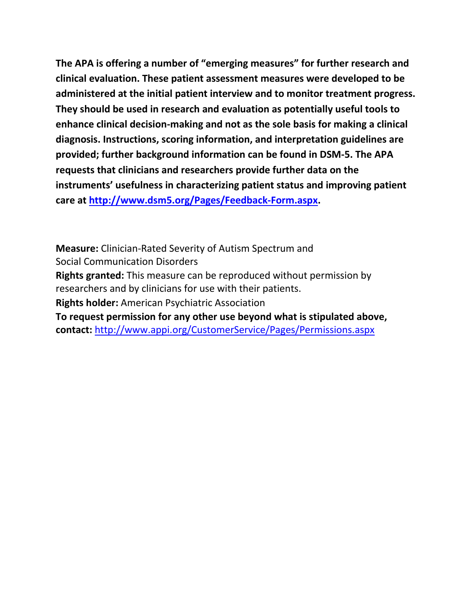**The APA is offering a number of "emerging measures" for further research and clinical evaluation. These patient assessment measures were developed to be administered at the initial patient interview and to monitor treatment progress. They should be used in research and evaluation as potentially useful tools to enhance clinical decision-making and not as the sole basis for making a clinical diagnosis. Instructions, scoring information, and interpretation guidelines are provided; further background information can be found in DSM-5. The APA requests that clinicians and researchers provide further data on the instruments' usefulness in characterizing patient status and improving patient care at [http://www.dsm5.org/Pages/Feedback-Form.aspx.](http://www.dsm5.org/Pages/Feedback-Form.aspx)**

**Measure:** Clinician-Rated Severity of Autism Spectrum and Social Communication Disorders

**Rights granted:** This measure can be reproduced without permission by researchers and by clinicians for use with their patients.

**Rights holder:** American Psychiatric Association

**To request permission for any other use beyond what is stipulated above, contact:** <http://www.appi.org/CustomerService/Pages/Permissions.aspx>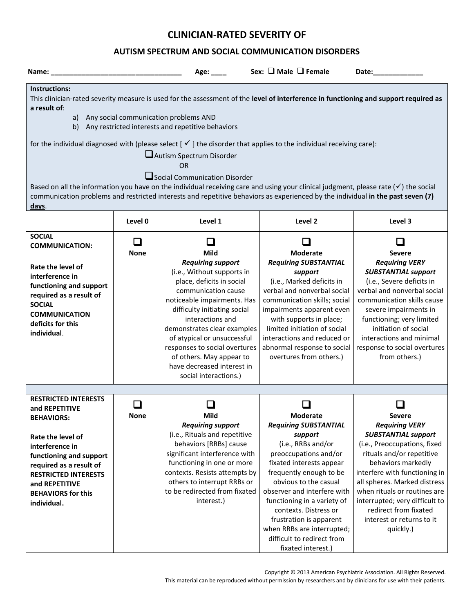# **CLINICIAN-RATED SEVERITY OF**

## **AUTISM SPECTRUM AND SOCIAL COMMUNICATION DISORDERS**

| Name: when the contract of the contract of the contract of the contract of the contract of the contract of the                                                                                                                                                                                                                                                                                                                                                                                                                                                                                                                                                                                                                                                             |                       | Age: $\frac{1}{2}$                                                                                                                                                                                                                                                                                                                                                                           | Sex: □ Male □ Female                                                                                                                                                                                                                                                                                                                                                                          | Date: the contract of the contract of the contract of the contract of the contract of the contract of the contract of the contract of the contract of the contract of the contract of the contract of the contract of the cont                                                                                                                                |
|----------------------------------------------------------------------------------------------------------------------------------------------------------------------------------------------------------------------------------------------------------------------------------------------------------------------------------------------------------------------------------------------------------------------------------------------------------------------------------------------------------------------------------------------------------------------------------------------------------------------------------------------------------------------------------------------------------------------------------------------------------------------------|-----------------------|----------------------------------------------------------------------------------------------------------------------------------------------------------------------------------------------------------------------------------------------------------------------------------------------------------------------------------------------------------------------------------------------|-----------------------------------------------------------------------------------------------------------------------------------------------------------------------------------------------------------------------------------------------------------------------------------------------------------------------------------------------------------------------------------------------|---------------------------------------------------------------------------------------------------------------------------------------------------------------------------------------------------------------------------------------------------------------------------------------------------------------------------------------------------------------|
| Instructions:<br>This clinician-rated severity measure is used for the assessment of the level of interference in functioning and support required as<br>a result of:<br>a) Any social communication problems AND<br>b) Any restricted interests and repetitive behaviors<br>for the individual diagnosed with (please select $[\checkmark]$ the disorder that applies to the individual receiving care):<br>Autism Spectrum Disorder<br>OR<br>Social Communication Disorder<br>Based on all the information you have on the individual receiving care and using your clinical judgment, please rate $(\checkmark)$ the social<br>communication problems and restricted interests and repetitive behaviors as experienced by the individual in the past seven (7)<br>days. |                       |                                                                                                                                                                                                                                                                                                                                                                                              |                                                                                                                                                                                                                                                                                                                                                                                               |                                                                                                                                                                                                                                                                                                                                                               |
|                                                                                                                                                                                                                                                                                                                                                                                                                                                                                                                                                                                                                                                                                                                                                                            | Level 0               | Level 1                                                                                                                                                                                                                                                                                                                                                                                      | Level 2                                                                                                                                                                                                                                                                                                                                                                                       | Level 3                                                                                                                                                                                                                                                                                                                                                       |
| <b>SOCIAL</b><br><b>COMMUNICATION:</b><br>Rate the level of<br>interference in<br>functioning and support<br>required as a result of<br><b>SOCIAL</b><br><b>COMMUNICATION</b><br>deficits for this<br>individual.                                                                                                                                                                                                                                                                                                                                                                                                                                                                                                                                                          | $\Box$<br><b>None</b> | ப<br>Mild<br><b>Requiring support</b><br>(i.e., Without supports in<br>place, deficits in social<br>communication cause<br>noticeable impairments. Has<br>difficulty initiating social<br>interactions and<br>demonstrates clear examples<br>of atypical or unsuccessful<br>responses to social overtures<br>of others. May appear to<br>have decreased interest in<br>social interactions.) | $\sim$<br><b>Moderate</b><br><b>Requiring SUBSTANTIAL</b><br>support<br>(i.e., Marked deficits in<br>verbal and nonverbal social<br>communication skills; social<br>impairments apparent even<br>with supports in place;<br>limited initiation of social<br>interactions and reduced or<br>abnormal response to social<br>overtures from others.)                                             | $\sim$<br><b>Severe</b><br><b>Requiring VERY</b><br><b>SUBSTANTIAL support</b><br>(i.e., Severe deficits in<br>verbal and nonverbal social<br>communication skills cause<br>severe impairments in<br>functioning; very limited<br>initiation of social<br>interactions and minimal<br>response to social overtures<br>from others.)                           |
| <b>RESTRICTED INTERESTS</b>                                                                                                                                                                                                                                                                                                                                                                                                                                                                                                                                                                                                                                                                                                                                                |                       |                                                                                                                                                                                                                                                                                                                                                                                              |                                                                                                                                                                                                                                                                                                                                                                                               |                                                                                                                                                                                                                                                                                                                                                               |
| and REPETITIVE<br><b>BEHAVIORS:</b><br>Rate the level of<br>interference in<br>functioning and support<br>required as a result of<br><b>RESTRICTED INTERESTS</b><br>and REPETITIVE<br><b>BEHAVIORS for this</b><br>individual.                                                                                                                                                                                                                                                                                                                                                                                                                                                                                                                                             | <b>None</b>           | <b>Mild</b><br><b>Requiring support</b><br>(i.e., Rituals and repetitive<br>behaviors [RRBs] cause<br>significant interference with<br>functioning in one or more<br>contexts. Resists attempts by<br>others to interrupt RRBs or<br>to be redirected from fixated<br>interest.)                                                                                                             | <b>Moderate</b><br><b>Requiring SUBSTANTIAL</b><br>support<br>(i.e., RRBs and/or<br>preoccupations and/or<br>fixated interests appear<br>frequently enough to be<br>obvious to the casual<br>observer and interfere with<br>functioning in a variety of<br>contexts. Distress or<br>frustration is apparent<br>when RRBs are interrupted;<br>difficult to redirect from<br>fixated interest.) | <b>Severe</b><br><b>Requiring VERY</b><br><b>SUBSTANTIAL support</b><br>(i.e., Preoccupations, fixed<br>rituals and/or repetitive<br>behaviors markedly<br>interfere with functioning in<br>all spheres. Marked distress<br>when rituals or routines are<br>interrupted; very difficult to<br>redirect from fixated<br>interest or returns to it<br>quickly.) |

Copyright © 2013 American Psychiatric Association. All Rights Reserved.

This material can be reproduced without permission by researchers and by clinicians for use with their patients.